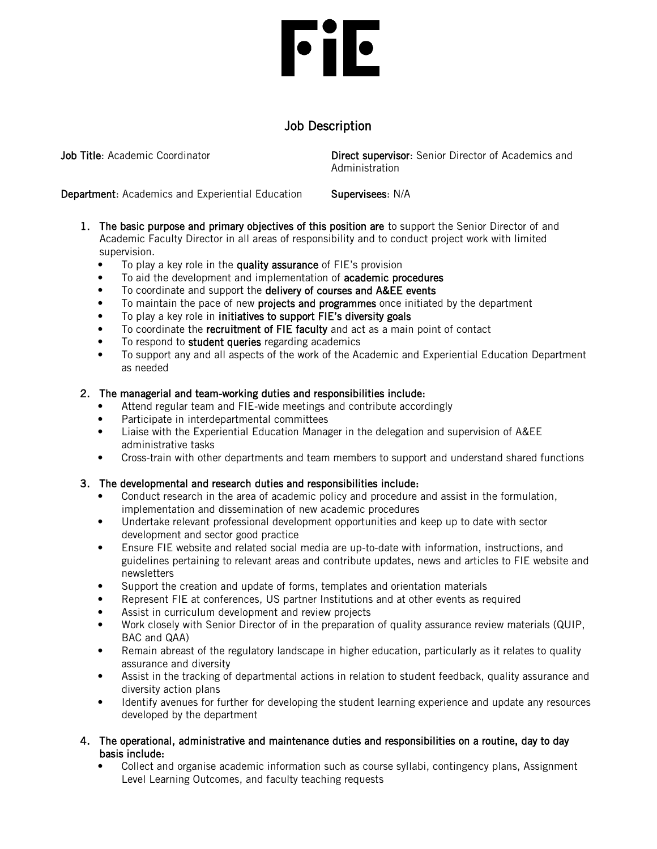# **File**

# Job Description

**Job Title:** Academic Coordinator **Direct supervisor:** Senior Director of Academics and Administration

Department: Academics and Experiential Education Supervisees: N/A

- 1. The basic purpose and primary objectives of this position are to support the Senior Director of and Academic Faculty Director in all areas of responsibility and to conduct project work with limited supervision.
	- To play a key role in the quality assurance of FIE's provision
	- To aid the development and implementation of **academic procedures**
	- To coordinate and support the delivery of courses and A&EE events
	- To maintain the pace of new projects and programmes once initiated by the department
	- To play a key role in initiatives to support FIE's diversity goals
	- To coordinate the recruitment of FIE faculty and act as a main point of contact
	- To respond to student queries regarding academics
	- To support any and all aspects of the work of the Academic and Experiential Education Department as needed

## 2. The managerial and team-working duties and responsibilities include:

- Attend regular team and FIE-wide meetings and contribute accordingly
- Participate in interdepartmental committees
- Liaise with the Experiential Education Manager in the delegation and supervision of A&EE administrative tasks
- Cross-train with other departments and team members to support and understand shared functions

## 3. The developmental and research duties and responsibilities include:

- Conduct research in the area of academic policy and procedure and assist in the formulation, implementation and dissemination of new academic procedures
- Undertake relevant professional development opportunities and keep up to date with sector development and sector good practice
- Ensure FIE website and related social media are up-to-date with information, instructions, and guidelines pertaining to relevant areas and contribute updates, news and articles to FIE website and newsletters
- Support the creation and update of forms, templates and orientation materials
- Represent FIE at conferences, US partner Institutions and at other events as required
- Assist in curriculum development and review projects
- Work closely with Senior Director of in the preparation of quality assurance review materials (QUIP, BAC and QAA)
- Remain abreast of the regulatory landscape in higher education, particularly as it relates to quality assurance and diversity
- Assist in the tracking of departmental actions in relation to student feedback, quality assurance and diversity action plans
- Identify avenues for further for developing the student learning experience and update any resources developed by the department
- 4. The operational, administrative and maintenance duties and responsibilities on a routine, day to day basis include:
	- Collect and organise academic information such as course syllabi, contingency plans, Assignment Level Learning Outcomes, and faculty teaching requests